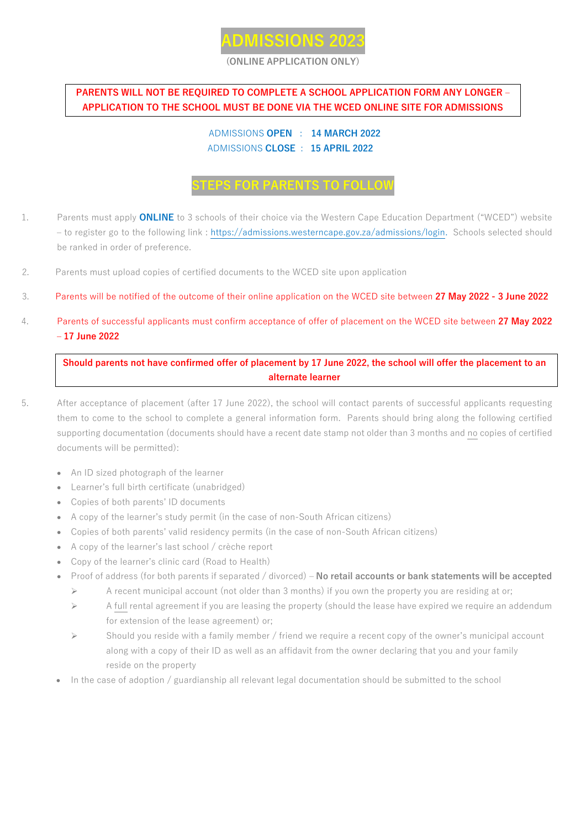

#### **(ONLINE APPLICATION ONLY)**

### **PARENTS WILL NOT BE REQUIRED TO COMPLETE A SCHOOL APPLICATION FORM ANY LONGER – APPLICATION TO THE SCHOOL MUST BE DONE VIA THE WCED ONLINE SITE FOR ADMISSIONS**

#### ADMISSIONS **OPEN** : **14 MARCH 2022** ADMISSIONS **CLOSE** : **15 APRIL 2022**

# **STEPS FOR PARENTS TO FOLLOW**

- 1. Parents must apply **ONLINE** to 3 schools of their choice via the Western Cape Education Department ("WCED") website – to register go to the following link : [https://admissions.westerncape.gov.za/admissions/login.](https://admissions.westerncape.gov.za/admissions/login) Schools selected should be ranked in order of preference.
- 2. Parents must upload copies of certified documents to the WCED site upon application
- 3. Parents will be notified of the outcome of their online application on the WCED site between **27 May 2022 - 3 June 2022**
- 4. Parents of successful applicants must confirm acceptance of offer of placement on the WCED site between **27 May 2022 – 17 June 2022**

**Should parents not have confirmed offer of placement by 17 June 2022, the school will offer the placement to an alternate learner**

- 5. After acceptance of placement (after 17 June 2022), the school will contact parents of successful applicants requesting them to come to the school to complete a general information form. Parents should bring along the following certified supporting documentation (documents should have a recent date stamp not older than 3 months and no copies of certified documents will be permitted):
	- An ID sized photograph of the learner
	- Learner's full birth certificate (unabridged)
	- Copies of both parents' ID documents
	- A copy of the learner's study permit (in the case of non-South African citizens)
	- Copies of both parents' valid residency permits (in the case of non-South African citizens)
	- A copy of the learner's last school / crèche report
	- Copy of the learner's clinic card (Road to Health)
	- Proof of address (for both parents if separated / divorced) **No retail accounts or bank statements will be accepted**
		- $\triangleright$  A recent municipal account (not older than 3 months) if you own the property you are residing at or;
		- $\triangleright$  A full rental agreement if you are leasing the property (should the lease have expired we require an addendum for extension of the lease agreement) or;
		- Should you reside with a family member / friend we require a recent copy of the owner's municipal account along with a copy of their ID as well as an affidavit from the owner declaring that you and your family reside on the property
	- In the case of adoption / guardianship all relevant legal documentation should be submitted to the school